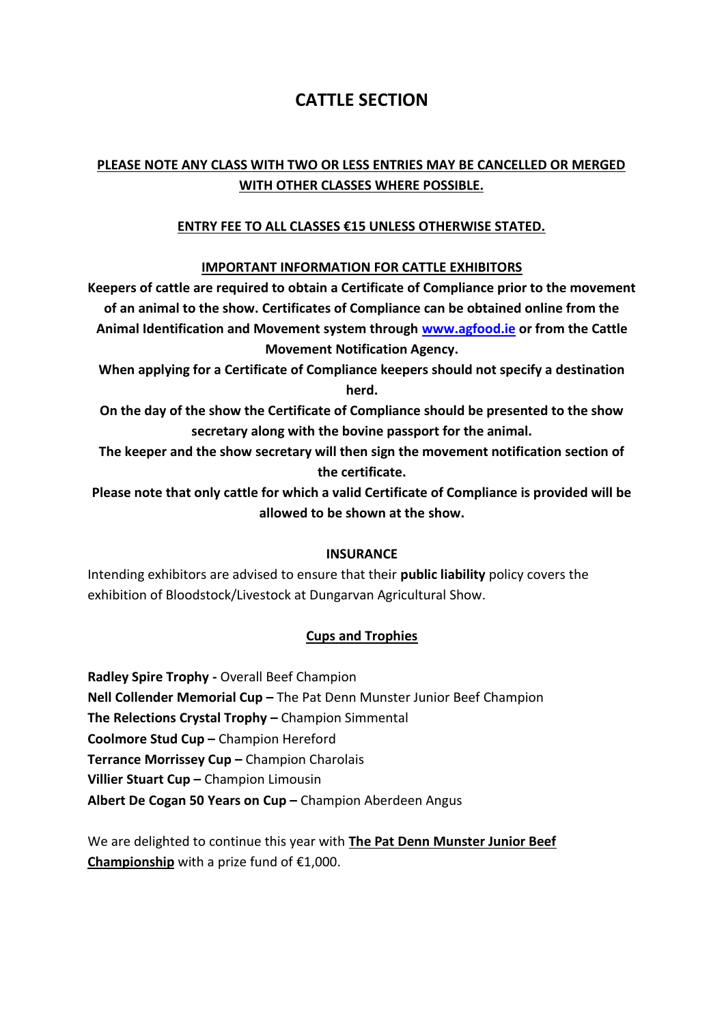# **CATTLE SECTION**

## **PLEASE NOTE ANY CLASS WITH TWO OR LESS ENTRIES MAY BE CANCELLED OR MERGED WITH OTHER CLASSES WHERE POSSIBLE.**

## **ENTRY FEE TO ALL CLASSES €15 UNLESS OTHERWISE STATED.**

### **IMPORTANT INFORMATION FOR CATTLE EXHIBITORS**

**Keepers of cattle are required to obtain a Certificate of Compliance prior to the movement of an animal to the show. Certificates of Compliance can be obtained online from the Animal Identification and Movement system through [www.agfood.ie](http://www.agfood.ie/) or from the Cattle Movement Notification Agency.**

**When applying for a Certificate of Compliance keepers should not specify a destination herd.**

**On the day of the show the Certificate of Compliance should be presented to the show secretary along with the bovine passport for the animal.**

**The keeper and the show secretary will then sign the movement notification section of the certificate.**

**Please note that only cattle for which a valid Certificate of Compliance is provided will be allowed to be shown at the show.**

### **INSURANCE**

Intending exhibitors are advised to ensure that their **public liability** policy covers the exhibition of Bloodstock/Livestock at Dungarvan Agricultural Show.

## **Cups and Trophies**

**Radley Spire Trophy -** Overall Beef Champion **Nell Collender Memorial Cup –** The Pat Denn Munster Junior Beef Champion **The Relections Crystal Trophy –** Champion Simmental **Coolmore Stud Cup –** Champion Hereford **Terrance Morrissey Cup –** Champion Charolais **Villier Stuart Cup –** Champion Limousin **Albert De Cogan 50 Years on Cup –** Champion Aberdeen Angus

We are delighted to continue this year with **The Pat Denn Munster Junior Beef Championship** with a prize fund of €1,000.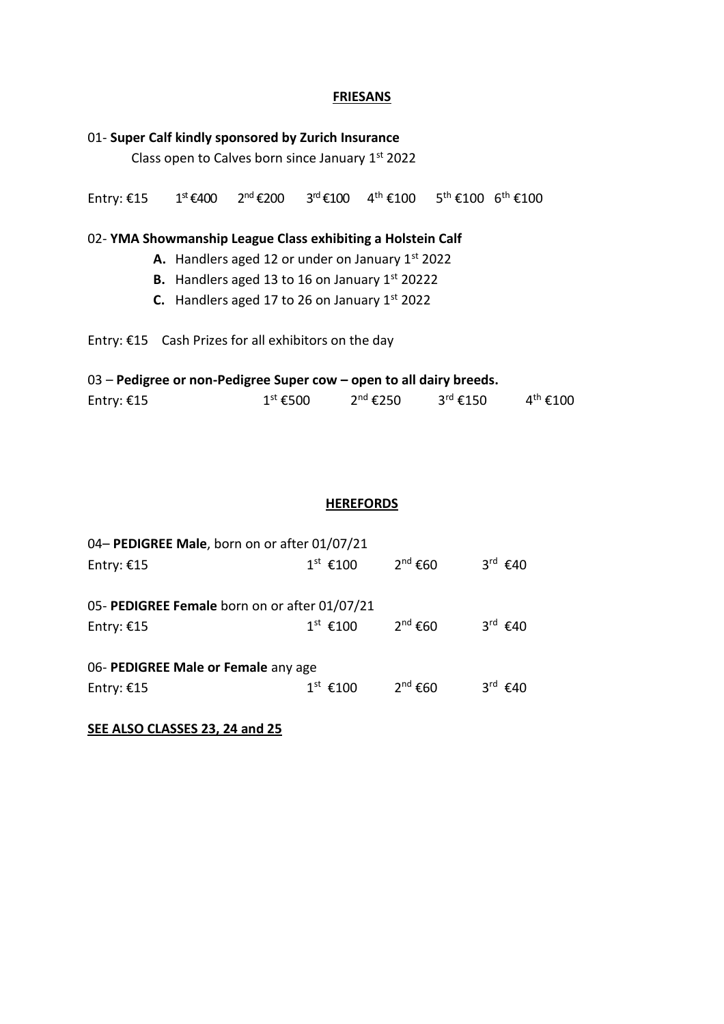## **FRIESANS**

| 01- Super Calf kindly sponsored by Zurich Insurance<br>Class open to Calves born since January 1st 2022 |                      |                                                        |  |                                                                       |  |                      |  |  |
|---------------------------------------------------------------------------------------------------------|----------------------|--------------------------------------------------------|--|-----------------------------------------------------------------------|--|----------------------|--|--|
| Entry: $£15$                                                                                            | 1 <sup>st</sup> €400 |                                                        |  | $2^{nd}$ €200 $3^{rd}$ €100 $4^{th}$ €100 $5^{th}$ €100 $6^{th}$ €100 |  |                      |  |  |
| 02-YMA Showmanship League Class exhibiting a Holstein Calf                                              |                      |                                                        |  |                                                                       |  |                      |  |  |
|                                                                                                         |                      | A. Handlers aged 12 or under on January $1st$ 2022     |  |                                                                       |  |                      |  |  |
|                                                                                                         |                      | <b>B.</b> Handlers aged 13 to 16 on January 1st 20222  |  |                                                                       |  |                      |  |  |
|                                                                                                         |                      | <b>C.</b> Handlers aged 17 to 26 on January $1st$ 2022 |  |                                                                       |  |                      |  |  |
| Entry: $£15$ Cash Prizes for all exhibitors on the day                                                  |                      |                                                        |  |                                                                       |  |                      |  |  |
| 03 – Pedigree or non-Pedigree Super cow – open to all dairy breeds.                                     |                      |                                                        |  |                                                                       |  |                      |  |  |
| Entry: €15                                                                                              |                      |                                                        |  | $1^{\text{st}}$ €500 $2^{\text{nd}}$ €250 $3^{\text{rd}}$ €150        |  | $4^{\text{th}}$ €100 |  |  |

#### **HEREFORDS**

| 04- PEDIGREE Male, born on or after 01/07/21  |            |              |                               |  |  |  |  |
|-----------------------------------------------|------------|--------------|-------------------------------|--|--|--|--|
| Entry: $£15$                                  | $1st$ €100 | $2^{nd}$ €60 | $3^{\text{rd}}$ $\epsilon$ 40 |  |  |  |  |
| 05- PEDIGREE Female born on or after 01/07/21 |            |              |                               |  |  |  |  |
| Entry: $£15$                                  | $1st$ €100 | $2^{nd}$ €60 | $3^{\text{rd}}$ €40           |  |  |  |  |
| 06- PEDIGREE Male or Female any age           |            |              |                               |  |  |  |  |
| Entry: $£15$                                  | $1st$ €100 | $2^{nd}$ €60 | $3^{\text{rd}}$ €40           |  |  |  |  |

**SEE ALSO CLASSES 23, 24 and 25**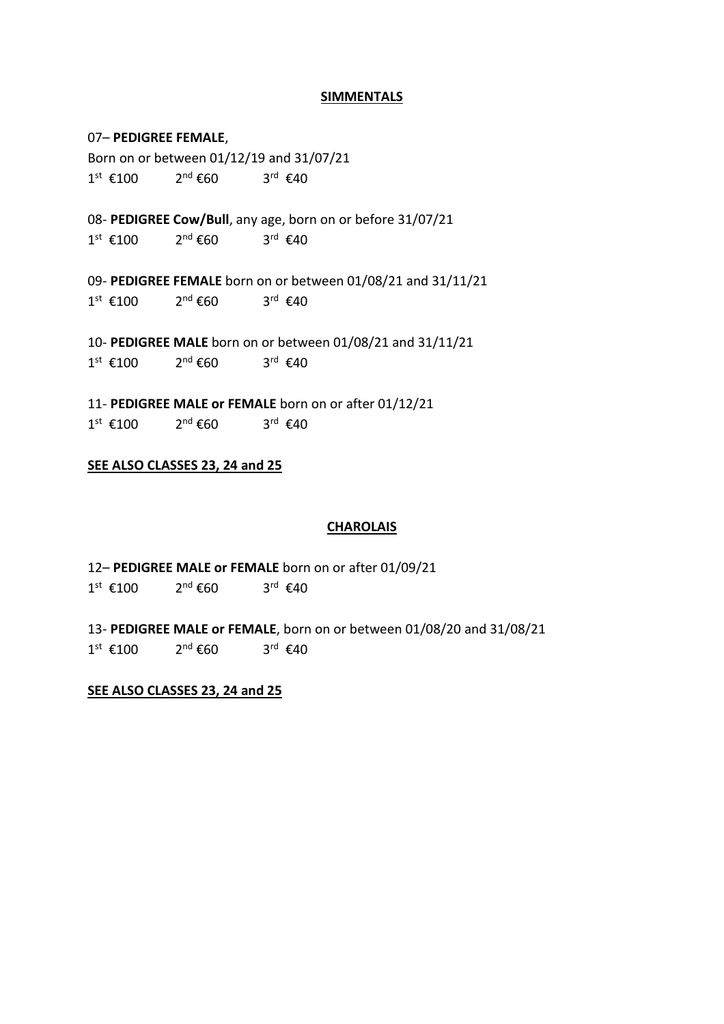#### **SIMMENTALS**

#### 07– **PEDIGREE FEMALE**,

Born on or between 01/12/19 and 31/07/21  $1^{st}$  €100 2  $2<sup>nd</sup>$  €60  $3^{\text{rd}}$   $\epsilon$ 40

08- **PEDIGREE Cow/Bull**, any age, born on or before 31/07/21  $1^{st}$  €100 2  $2^{nd}$  €60 3<sup>rd</sup> €40

09- **PEDIGREE FEMALE** born on or between 01/08/21 and 31/11/21  $1^{st}$  €100 2  $2^{nd}$  €60  $3^{\text{rd}}$   $\epsilon$ 40

10- **PEDIGREE MALE** born on or between 01/08/21 and 31/11/21  $1^{st}$  €100 2  $2^{nd}$  €60  $3^{\text{rd}}$  €40

11- **PEDIGREE MALE or FEMALE** born on or after 01/12/21  $1^{st}$  €100 2  $2<sup>nd</sup>$  €60 3<sup>rd</sup> €40

#### **SEE ALSO CLASSES 23, 24 and 25**

#### **CHAROLAIS**

12– **PEDIGREE MALE or FEMALE** born on or after 01/09/21  $1^{st}$  €100 2  $2^{nd}$  €60  $3^{\text{rd}}$  €40

13- **PEDIGREE MALE or FEMALE**, born on or between 01/08/20 and 31/08/21  $1^{st}$  €100 2  $2^{nd}$  €60  $3^{\text{rd}}$   $\epsilon$ 40

#### **SEE ALSO CLASSES 23, 24 and 25**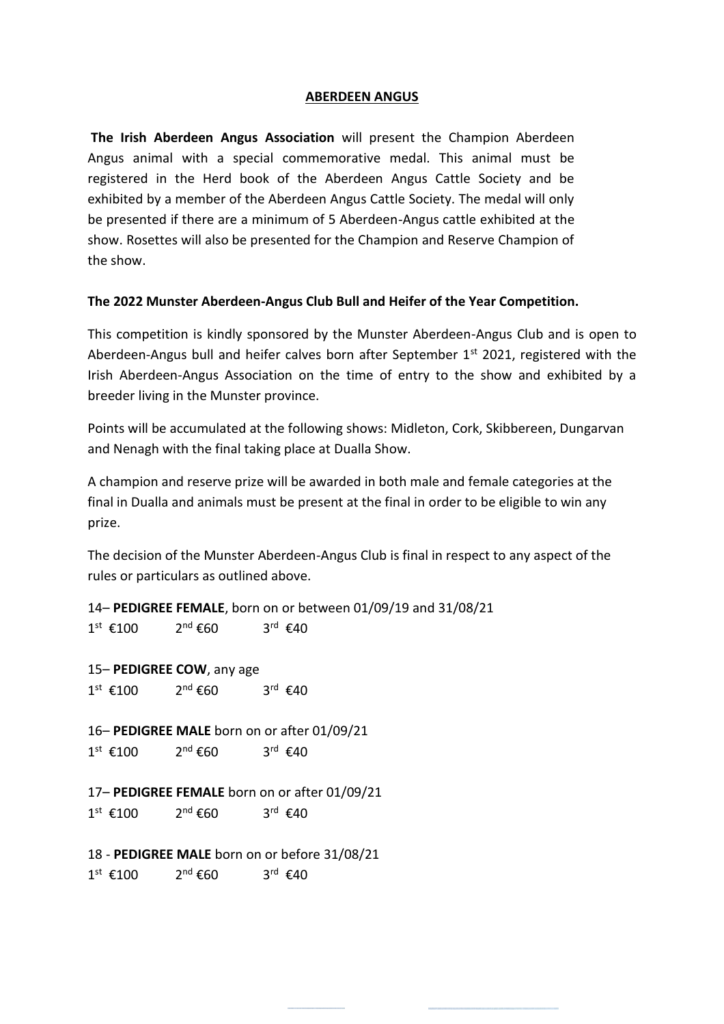### **ABERDEEN ANGUS**

**The Irish Aberdeen Angus Association** will present the Champion Aberdeen Angus animal with a special commemorative medal. This animal must be registered in the Herd book of the Aberdeen Angus Cattle Society and be exhibited by a member of the Aberdeen Angus Cattle Society. The medal will only be presented if there are a minimum of 5 Aberdeen-Angus cattle exhibited at the show. Rosettes will also be presented for the Champion and Reserve Champion of the show.

#### **The 2022 Munster Aberdeen-Angus Club Bull and Heifer of the Year Competition.**

This competition is kindly sponsored by the Munster Aberdeen-Angus Club and is open to Aberdeen-Angus bull and heifer calves born after September 1<sup>st</sup> 2021, registered with the Irish Aberdeen-Angus Association on the time of entry to the show and exhibited by a breeder living in the Munster province.

Points will be accumulated at the following shows: Midleton, Cork, Skibbereen, Dungarvan and Nenagh with the final taking place at Dualla Show.

A champion and reserve prize will be awarded in both male and female categories at the final in Dualla and animals must be present at the final in order to be eligible to win any prize.

The decision of the Munster Aberdeen-Angus Club is final in respect to any aspect of the rules or particulars as outlined above.

14– **PEDIGREE FEMALE**, born on or between 01/09/19 and 31/08/21  $1^{st}$  €100 2  $2<sup>nd</sup>$  €60  $3^{\text{rd}}$   $\epsilon$ 40

15– **PEDIGREE COW**, any age  $1^{st}$  €100 2  $2<sup>nd</sup>$  €60  $3^{\text{rd}}$   $\epsilon$ 40

16– **PEDIGREE MALE** born on or after 01/09/21  $1^{st}$  €100 2  $2<sup>nd</sup>$  €60  $3^{\text{rd}}$   $\epsilon$ 40

17– **PEDIGREE FEMALE** born on or after 01/09/21  $1^{st}$  €100 2  $2^{nd}$  €60  $3^{\text{rd}}$  €40

18 - **PEDIGREE MALE** born on or before 31/08/21  $1^{st}$  €100 2  $2^{nd}$  €60  $3^{\text{rd}}$   $\epsilon$ 40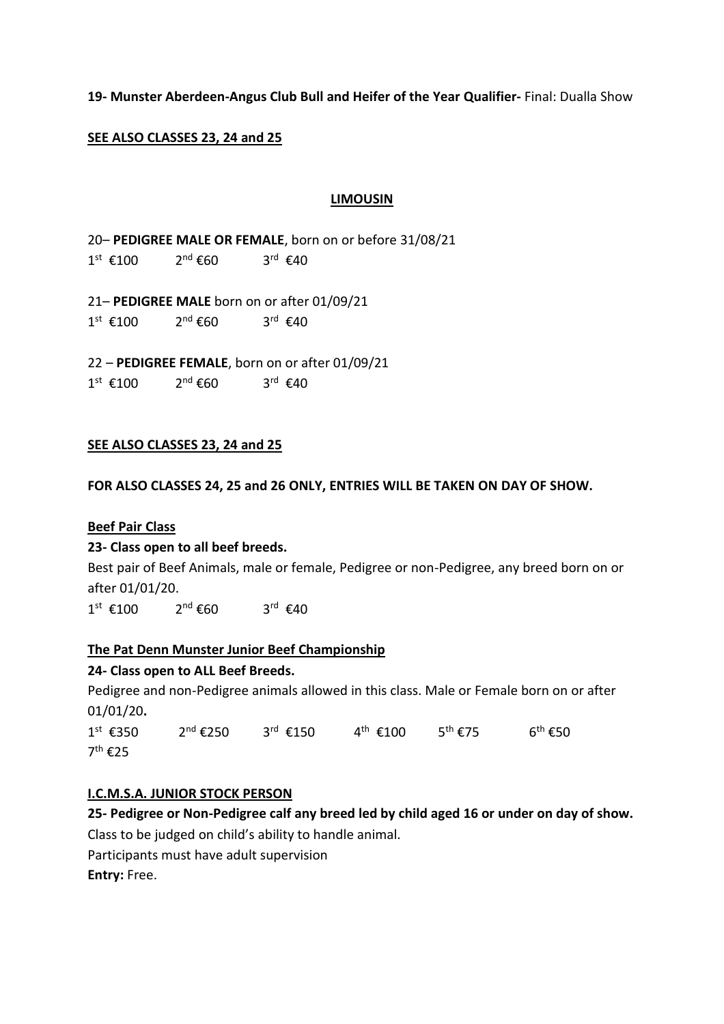### **19- Munster Aberdeen-Angus Club Bull and Heifer of the Year Qualifier-** Final: Dualla Show

### **SEE ALSO CLASSES 23, 24 and 25**

#### **LIMOUSIN**

20– **PEDIGREE MALE OR FEMALE**, born on or before 31/08/21  $1^{st}$  €100 2  $2<sup>nd</sup>$  €60  $3^{\text{rd}}$  €40

21– **PEDIGREE MALE** born on or after 01/09/21  $1^{st}$  €100 2  $2^{nd}$  €60  $3^{\text{rd}}$  €40

22 – **PEDIGREE FEMALE**, born on or after 01/09/21  $1^{st}$  €100 2  $2^{nd}$  €60  $3^{\text{rd}}$  €40

#### **SEE ALSO CLASSES 23, 24 and 25**

**FOR ALSO CLASSES 24, 25 and 26 ONLY, ENTRIES WILL BE TAKEN ON DAY OF SHOW.**

#### **Beef Pair Class**

#### **23- Class open to all beef breeds.**

Best pair of Beef Animals, male or female, Pedigree or non-Pedigree, any breed born on or after 01/01/20.

 $1^{st}$  €100 2  $2<sup>nd</sup>$  €60  $3^{\text{rd}}$  €40

#### **The Pat Denn Munster Junior Beef Championship**

#### **24- Class open to ALL Beef Breeds.**

Pedigree and non-Pedigree animals allowed in this class. Male or Female born on or after 01/01/20**.**

1<sup>st</sup> €350 2  $2^{nd}$  €250 <sup>rd</sup> €150 4<sup>th</sup> €100 5<sup>th</sup> €75 6  $6^{\text{th}}$  €50 7<sup>th</sup> €25

#### **I.C.M.S.A. JUNIOR STOCK PERSON**

**25- Pedigree or Non-Pedigree calf any breed led by child aged 16 or under on day of show.** 

Class to be judged on child's ability to handle animal.

Participants must have adult supervision

**Entry:** Free.